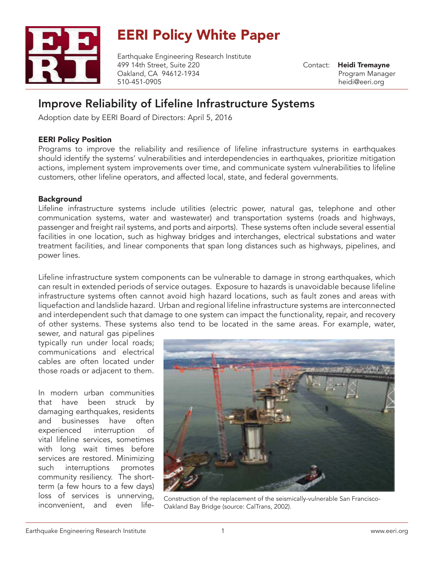

# EERI Policy White Paper

Earthquake Engineering Research Institute 499 14th Street, Suite 220 Oakland, CA 94612-1934 510-451-0905

Contact: Heidi Tremayne Program Manager heidi@eeri.org

# Improve Reliability of Lifeline Infrastructure Systems

Adoption date by EERI Board of Directors: April 5, 2016

## EERI Policy Position

Programs to improve the reliability and resilience of lifeline infrastructure systems in earthquakes should identify the systems' vulnerabilities and interdependencies in earthquakes, prioritize mitigation actions, implement system improvements over time, and communicate system vulnerabilities to lifeline customers, other lifeline operators, and affected local, state, and federal governments.

# **Background**

Lifeline infrastructure systems include utilities (electric power, natural gas, telephone and other communication systems, water and wastewater) and transportation systems (roads and highways, passenger and freight rail systems, and ports and airports). These systems often include several essential facilities in one location, such as highway bridges and interchanges, electrical substations and water treatment facilities, and linear components that span long distances such as highways, pipelines, and power lines.

Lifeline infrastructure system components can be vulnerable to damage in strong earthquakes, which can result in extended periods of service outages. Exposure to hazards is unavoidable because lifeline infrastructure systems often cannot avoid high hazard locations, such as fault zones and areas with liquefaction and landslide hazard. Urban and regional lifeline infrastructure systems are interconnected and interdependent such that damage to one system can impact the functionality, repair, and recovery of other systems. These systems also tend to be located in the same areas. For example, water,

sewer, and natural gas pipelines typically run under local roads; communications and electrical cables are often located under those roads or adjacent to them.

In modern urban communities that have been struck by damaging earthquakes, residents and businesses have often experienced interruption of vital lifeline services, sometimes with long wait times before services are restored. Minimizing such interruptions promotes community resiliency. The shortterm (a few hours to a few days) loss of services is unnerving,



IOSS OT SEIVICES IS UNNEIVING, Construction of the replacement of the seismically-vulnerable San Francisco-<br>inconvenient, and even life- Oakland Bay Bridge (source: CalTrans 2002) Oakland Bay Bridge (source: CalTrans, 2002).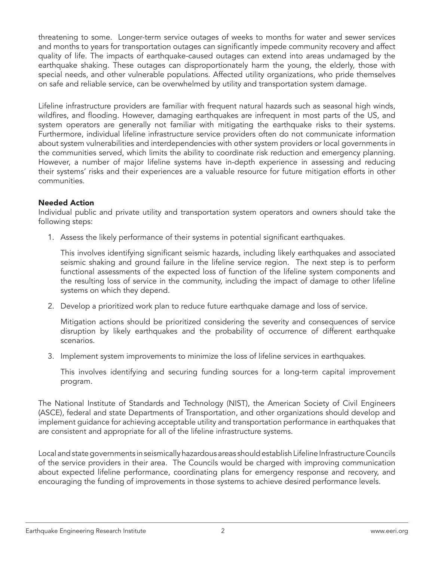threatening to some. Longer-term service outages of weeks to months for water and sewer services and months to years for transportation outages can significantly impede community recovery and affect quality of life. The impacts of earthquake-caused outages can extend into areas undamaged by the earthquake shaking. These outages can disproportionately harm the young, the elderly, those with special needs, and other vulnerable populations. Affected utility organizations, who pride themselves on safe and reliable service, can be overwhelmed by utility and transportation system damage.

Lifeline infrastructure providers are familiar with frequent natural hazards such as seasonal high winds, wildfires, and flooding. However, damaging earthquakes are infrequent in most parts of the US, and system operators are generally not familiar with mitigating the earthquake risks to their systems. Furthermore, individual lifeline infrastructure service providers often do not communicate information about system vulnerabilities and interdependencies with other system providers or local governments in the communities served, which limits the ability to coordinate risk reduction and emergency planning. However, a number of major lifeline systems have in-depth experience in assessing and reducing their systems' risks and their experiences are a valuable resource for future mitigation efforts in other communities.

## Needed Action

Individual public and private utility and transportation system operators and owners should take the following steps:

1. Assess the likely performance of their systems in potential significant earthquakes.

This involves identifying significant seismic hazards, including likely earthquakes and associated seismic shaking and ground failure in the lifeline service region. The next step is to perform functional assessments of the expected loss of function of the lifeline system components and the resulting loss of service in the community, including the impact of damage to other lifeline systems on which they depend.

2. Develop a prioritized work plan to reduce future earthquake damage and loss of service.

Mitigation actions should be prioritized considering the severity and consequences of service disruption by likely earthquakes and the probability of occurrence of different earthquake scenarios.

3. Implement system improvements to minimize the loss of lifeline services in earthquakes.

This involves identifying and securing funding sources for a long-term capital improvement program.

The National Institute of Standards and Technology (NIST), the American Society of Civil Engineers (ASCE), federal and state Departments of Transportation, and other organizations should develop and implement guidance for achieving acceptable utility and transportation performance in earthquakes that are consistent and appropriate for all of the lifeline infrastructure systems.

Local and state governments in seismically hazardous areas should establish Lifeline Infrastructure Councils of the service providers in their area. The Councils would be charged with improving communication about expected lifeline performance, coordinating plans for emergency response and recovery, and encouraging the funding of improvements in those systems to achieve desired performance levels.